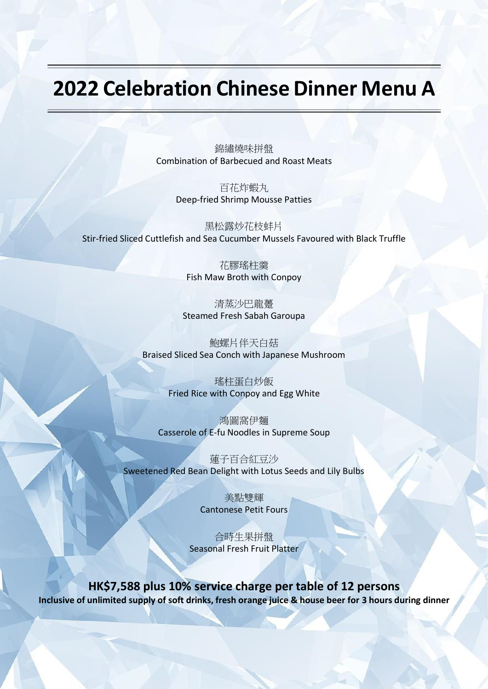## **2022 Celebration Chinese Dinner Menu A**

錦繡燒味拼盤 Combination of Barbecued and Roast Meats

> 百花炸蝦丸 Deep-fried Shrimp Mousse Patties

黑松露炒花枝蚌片 Stir-fried Sliced Cuttlefish and Sea Cucumber Mussels Favoured with Black Truffle

> 花膠瑤柱羹 Fish Maw Broth with Conpoy

清蒸沙巴龍躉 Steamed Fresh Sabah Garoupa

鮑螺片伴天白菇 Braised Sliced Sea Conch with Japanese Mushroom

> 瑤柱蛋白炒飯 Fried Rice with Conpoy and Egg White

鴻圖窩伊麵 Casserole of E-fu Noodles in Supreme Soup

蓮子百合紅豆沙 Sweetened Red Bean Delight with Lotus Seeds and Lily Bulbs

> 美點雙輝 Cantonese Petit Fours

合時生果拼盤 Seasonal Fresh Fruit Platter

**HK\$7,588 plus 10% service charge per table of 12 persons** Inclusive of unlimited supply of soft drinks, fresh orange juice & house beer for 3 hours during dinner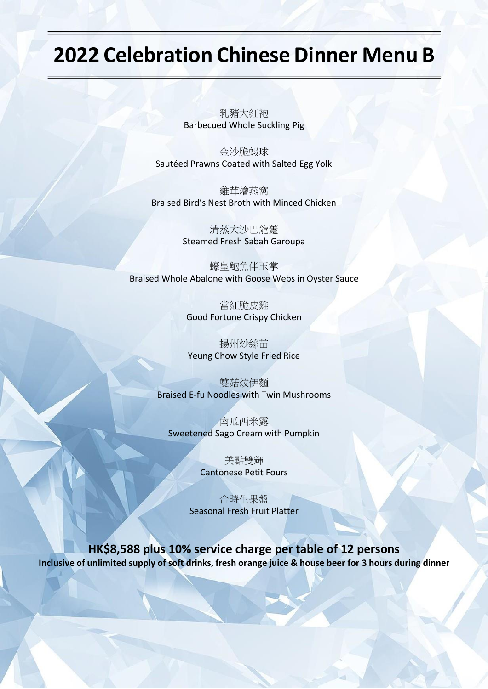## **2022 Celebration Chinese Dinner Menu B**

乳豬大紅袍 Barbecued Whole Suckling Pig

金沙脆蝦球 Sautéed Prawns Coated with Salted Egg Yolk

雞茸燴燕窩 Braised Bird's Nest Broth with Minced Chicken

> 清蒸大沙巴龍躉 Steamed Fresh Sabah Garoupa

蠔皇鮑魚伴玉掌 Braised Whole Abalone with Goose Webs in Oyster Sauce

> 當紅脆皮雞 Good Fortune Crispy Chicken

揚州炒絲苗 Yeung Chow Style Fried Rice

雙菇炆伊麵 Braised E-fu Noodles with Twin Mushrooms

南瓜西米露 Sweetened Sago Cream with Pumpkin

> 美點雙輝 Cantonese Petit Fours

合時生果盤 Seasonal Fresh Fruit Platter

**HK\$8,588 plus 10% service charge per table of 12 persons** Inclusive of unlimited supply of soft drinks, fresh orange juice & house beer for 3 hours during dinner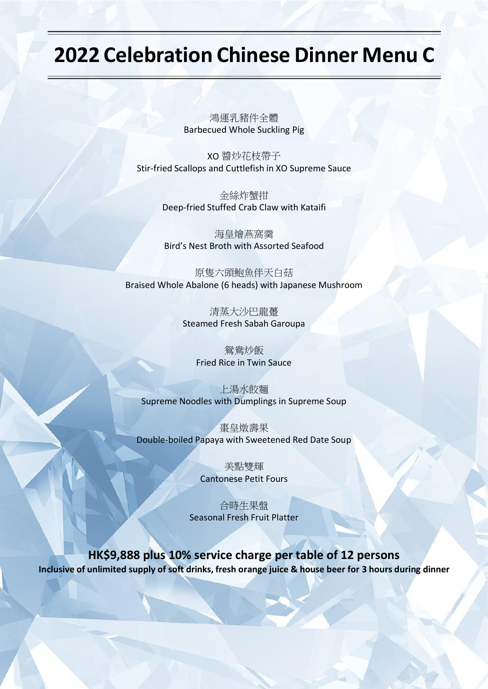## **2022 Celebration Chinese Dinner Menu C**

鴻運乳豬件全體 Barbecued Whole Suckling Pig

XO 醬炒花枝帶子 Stir-fried Scallops and Cuttlefish in XO Supreme Sauce

> 金絲炸蟹拑 Deep-fried Stuffed Crab Claw with Kataifi

海皇燴燕窩羹 Bird's Nest Broth with Assorted Seafood

原隻六頭鮑魚伴天白菇 Braised Whole Abalone (6 heads) with Japanese Mushroom

> 清蒸大沙巴龍躉 Steamed Fresh Sabah Garoupa

> > 鴛鴦炒飯 Fried Rice in Twin Sauce

上湯水餃麵 Supreme Noodles with Dumplings in Supreme Soup

棗皇燉壽果 Double-boiled Papaya with Sweetened Red Date Soup

> 美點雙輝 Cantonese Petit Fours

合時生果盤 Seasonal Fresh Fruit Platter

**HK\$9,888 plus 10% service charge per table of 12 persons** Inclusive of unlimited supply of soft drinks, fresh orange juice & house beer for 3 hours during dinner